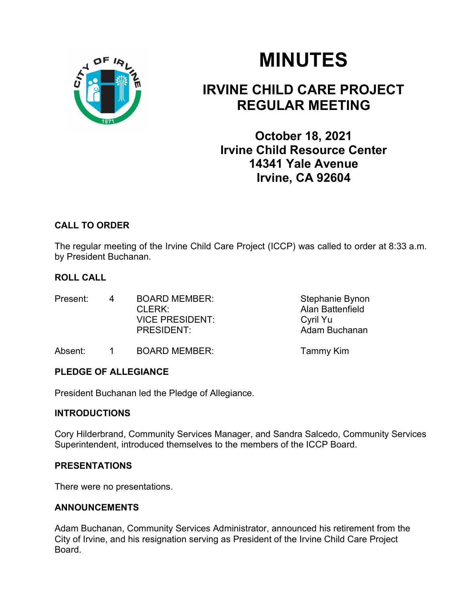

# MINUTES

## IRVINE CHILD CARE PROJECT REGULAR MEETING

### October 18, 2021 Irvine Child Resource Center 14341 Yale Avenue Irvine, CA 92604

#### CALL TO ORDER

The regular meeting of the Irvine Child Care Project (ICCP) was called to order at 8:33 a.m. by President Buchanan.

#### ROLL CALL

| Present: | 4 | <b>BOARD MEMBER:</b>   | Stephanie Bynon  |
|----------|---|------------------------|------------------|
|          |   | $CI$ FRK $\cdot$       | Alan Battenfield |
|          |   | <b>VICE PRESIDENT:</b> | Cyril Yu         |
|          |   | PRESIDENT:             | Adam Buchanan    |
|          |   |                        |                  |

Absent: 1 BOARD MEMBER: Tammy Kim

#### PLEDGE OF ALLEGIANCE

President Buchanan led the Pledge of Allegiance.

#### **INTRODUCTIONS**

Cory Hilderbrand, Community Services Manager, and Sandra Salcedo, Community Services Superintendent, introduced themselves to the members of the ICCP Board.

#### PRESENTATIONS

There were no presentations.

#### ANNOUNCEMENTS

Adam Buchanan, Community Services Administrator, announced his retirement from the City of Irvine, and his resignation serving as President of the Irvine Child Care Project Board.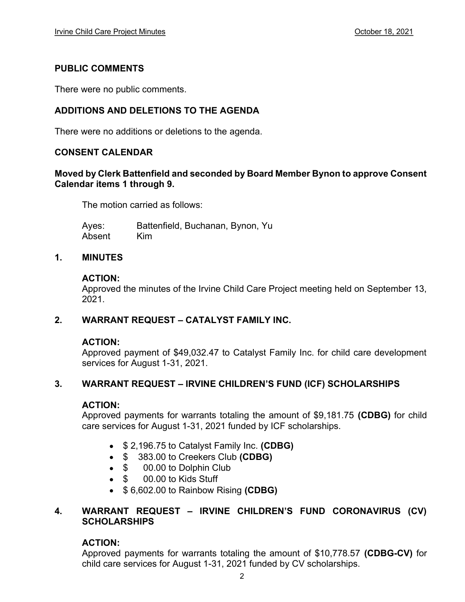#### PUBLIC COMMENTS

There were no public comments.

#### ADDITIONS AND DELETIONS TO THE AGENDA

There were no additions or deletions to the agenda.

#### CONSENT CALENDAR

#### Moved by Clerk Battenfield and seconded by Board Member Bynon to approve Consent Calendar items 1 through 9.

The motion carried as follows:

Ayes: Battenfield, Buchanan, Bynon, Yu Absent Kim

#### 1. MINUTES

#### ACTION:

Approved the minutes of the Irvine Child Care Project meeting held on September 13, 2021.

#### 2. WARRANT REQUEST - CATALYST FAMILY INC.

#### ACTION:

Approved payment of \$49,032.47 to Catalyst Family Inc. for child care development services for August 1-31, 2021.

#### 3. WARRANT REQUEST - IRVINE CHILDREN'S FUND (ICF) SCHOLARSHIPS

#### ACTION:

Approved payments for warrants totaling the amount of \$9,181.75 (CDBG) for child care services for August 1-31, 2021 funded by ICF scholarships.

- $\bullet$  \$ 2,196.75 to Catalyst Family Inc. (CDBG)
- $\bullet$  \$ 383.00 to Creekers Club (CDBG)
- \$ 00.00 to Dolphin Club
- \$ 00.00 to Kids Stuff
- **\$ 6,602.00 to Rainbow Rising (CDBG)**

#### 4. WARRANT REQUEST - IRVINE CHILDREN'S FUND CORONAVIRUS (CV) **SCHOLARSHIPS**

#### ACTION:

Approved payments for warrants totaling the amount of \$10,778.57 (CDBG-CV) for child care services for August 1-31, 2021 funded by CV scholarships.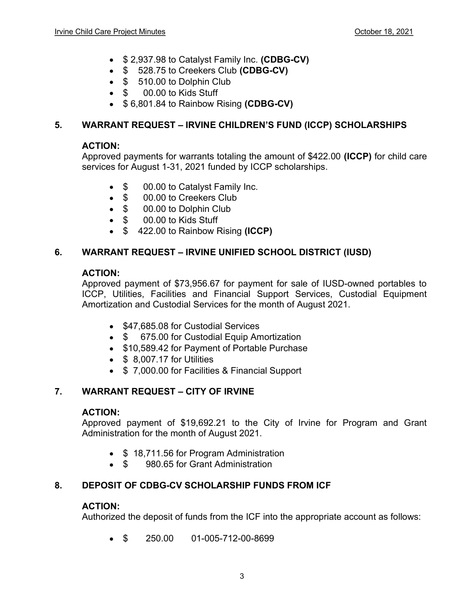- $\bullet$  \$ 2,937.98 to Catalyst Family Inc. (CDBG-CV)
- $\bullet$  \$ 528.75 to Creekers Club (CDBG-CV)
- $\bullet$  \$ 510.00 to Dolphin Club
- \$ 00.00 to Kids Stuff
- **\$ 6,801.84 to Rainbow Rising (CDBG-CV)**

#### 5. WARRANT REQUEST - IRVINE CHILDREN'S FUND (ICCP) SCHOLARSHIPS

#### ACTION:

Approved payments for warrants totaling the amount of \$422.00 (ICCP) for child care services for August 1-31, 2021 funded by ICCP scholarships.

- \$ 00.00 to Catalyst Family Inc.
- \$ 00.00 to Creekers Club
- $\bullet$  \$ 00.00 to Dolphin Club
- \$ 00.00 to Kids Stuff
- **\$** 422.00 to Rainbow Rising (ICCP)

#### 6. WARRANT REQUEST – IRVINE UNIFIED SCHOOL DISTRICT (IUSD)

#### ACTION:

Approved payment of \$73,956.67 for payment for sale of IUSD-owned portables to ICCP, Utilities, Facilities and Financial Support Services, Custodial Equipment Amortization and Custodial Services for the month of August 2021.

- \$47,685.08 for Custodial Services
- \$ 675.00 for Custodial Equip Amortization
- \$10,589.42 for Payment of Portable Purchase
- $\bullet$  \$ 8,007.17 for Utilities
- \$7,000.00 for Facilities & Financial Support

#### 7. WARRANT REQUEST - CITY OF IRVINE

#### ACTION:

Approved payment of \$19,692.21 to the City of Irvine for Program and Grant Administration for the month of August 2021.

- \$18,711.56 for Program Administration
- \$ 980.65 for Grant Administration

#### 8. DEPOSIT OF CDBG-CV SCHOLARSHIP FUNDS FROM ICF

#### ACTION:

Authorized the deposit of funds from the ICF into the appropriate account as follows:

\$ 250.00 01-005-712-00-8699